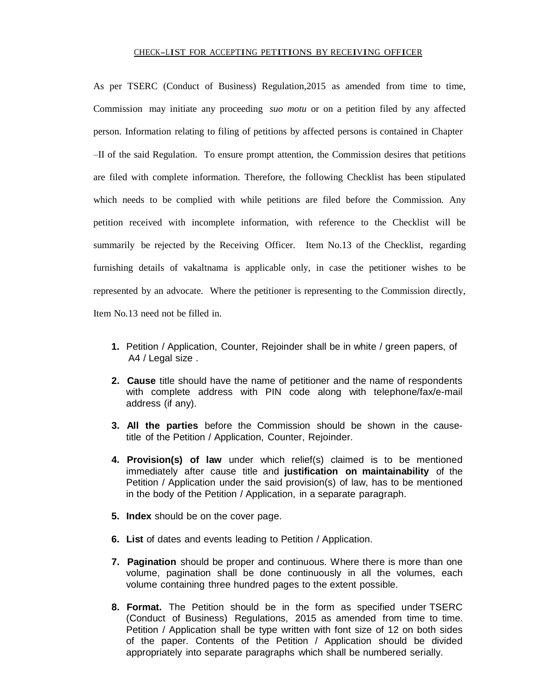## CHECK-LIST FOR ACCEPTING PETITIONS BY RECEIVING OFFICER

As per TSERC (Conduct of Business) Regulation,2015 as amended from time to time, Commission may initiate any proceeding *suo motu* or on a petition filed by any affected person. Information relating to filing of petitions by affected persons is contained in Chapter –II of the said Regulation. To ensure prompt attention, the Commission desires that petitions are filed with complete information. Therefore, the following Checklist has been stipulated which needs to be complied with while petitions are filed before the Commission. Any petition received with incomplete information, with reference to the Checklist will be summarily be rejected by the Receiving Officer. Item No.13 of the Checklist, regarding furnishing details of vakaltnama is applicable only, in case the petitioner wishes to be represented by an advocate. Where the petitioner is representing to the Commission directly, Item No.13 need not be filled in.

- **1.** Petition / Application, Counter, Rejoinder shall be in white / green papers, of A4 / Legal size .
- **2. Cause** title should have the name of petitioner and the name of respondents with complete address with PIN code along with telephone/fax/e-mail address (if any).
- **3. All the parties** before the Commission should be shown in the causetitle of the Petition / Application, Counter, Rejoinder.
- **4. Provision(s) of law** under which relief(s) claimed is to be mentioned immediately after cause title and **justification on maintainability** of the Petition / Application under the said provision(s) of law, has to be mentioned in the body of the Petition / Application, in a separate paragraph.
- **5. Index** should be on the cover page.
- **6. List** of dates and events leading to Petition / Application.
- **7. Pagination** should be proper and continuous. Where there is more than one volume, pagination shall be done continuously in all the volumes, each volume containing three hundred pages to the extent possible.
- **8. Format.** The Petition should be in the form as specified under TSERC (Conduct of Business) Regulations, 2015 as amended from time to time. Petition / Application shall be type written with font size of 12 on both sides of the paper. Contents of the Petition / Application should be divided appropriately into separate paragraphs which shall be numbered serially.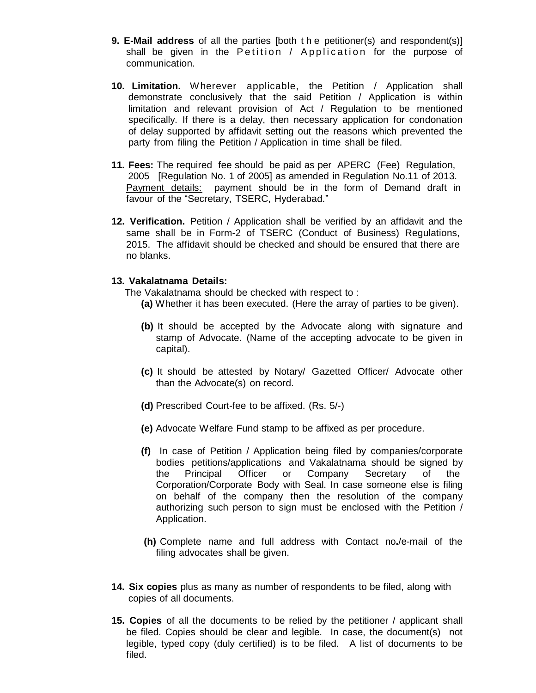- **9. E-Mail address** of all the parties [both t h e petitioner(s) and respondent(s)] shall be given in the Petition / Application for the purpose of communication.
- **10. Limitation.** Wherever applicable, the Petition / Application shall demonstrate conclusively that the said Petition / Application is within limitation and relevant provision of Act / Regulation to be mentioned specifically. If there is a delay, then necessary application for condonation of delay supported by affidavit setting out the reasons which prevented the party from filing the Petition / Application in time shall be filed.
- **11. Fees:** The required fee should be paid as per APERC (Fee) Regulation, 2005 [Regulation No. 1 of 2005] as amended in Regulation No.11 of 2013. Payment details: payment should be in the form of Demand draft in favour of the "Secretary, TSERC, Hyderabad."
- **12. Verification.** Petition / Application shall be verified by an affidavit and the same shall be in Form-2 of TSERC (Conduct of Business) Regulations, 2015. The affidavit should be checked and should be ensured that there are no blanks.

## **13. Vakalatnama Details:**

The Vakalatnama should be checked with respect to :

- **(a)** Whether it has been executed. (Here the array of parties to be given).
- **(b)** It should be accepted by the Advocate along with signature and stamp of Advocate. (Name of the accepting advocate to be given in capital).
- **(c)** It should be attested by Notary/ Gazetted Officer/ Advocate other than the Advocate(s) on record.
- **(d)** Prescribed Court-fee to be affixed. (Rs. 5/-)
- **(e)** Advocate Welfare Fund stamp to be affixed as per procedure.
- **(f)** In case of Petition / Application being filed by companies/corporate bodies petitions/applications and Vakalatnama should be signed by the Principal Officer or Company Secretary of the Corporation/Corporate Body with Seal. In case someone else is filing on behalf of the company then the resolution of the company authorizing such person to sign must be enclosed with the Petition / Application.
- **(h)** Complete name and full address with Contact no**.**/e-mail of the filing advocates shall be given.
- **14. Six copies** plus as many as number of respondents to be filed, along with copies of all documents.
- **15. Copies** of all the documents to be relied by the petitioner / applicant shall be filed. Copies should be clear and legible. In case, the document(s) not legible, typed copy (duly certified) is to be filed. A list of documents to be filed.